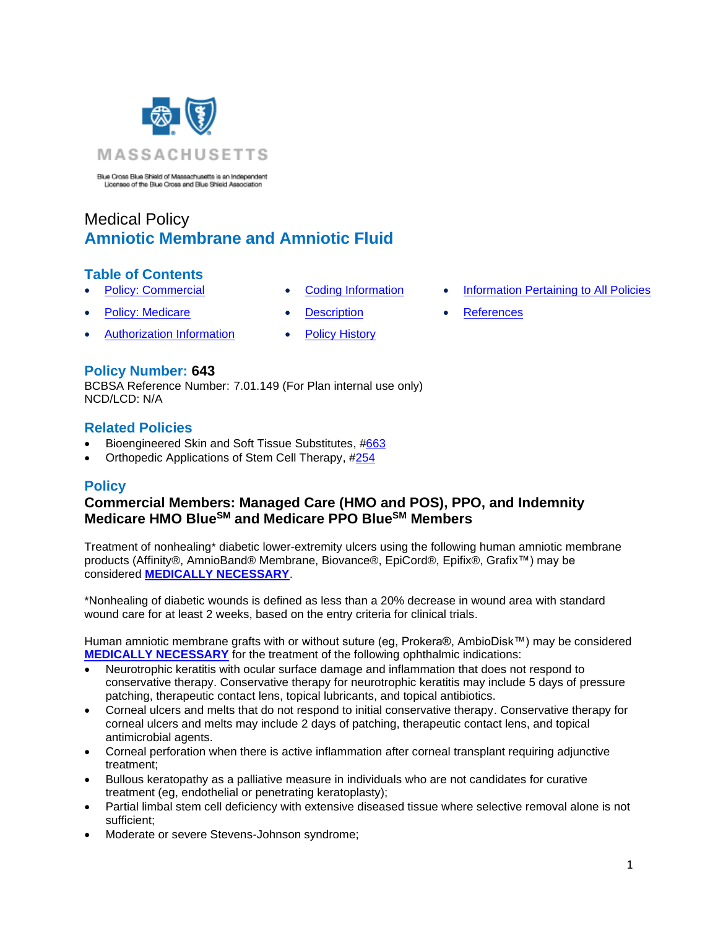

Blue Cross Blue Shield of Massachusetts is an Independent<br>Licensee of the Blue Cross and Blue Shield Association

# Medical Policy **Amniotic Membrane and Amniotic Fluid**

## **Table of Contents**

- 
- [Policy: Medicare](#page-0-0) [Description](#page-10-0) [References](#page-15-0)
- [Authorization Information](#page-2-1) [Policy History](#page-14-1)
- 
- -
- **[Policy: Commercial](#page-0-0) [Coding Information](#page-2-0) [Information Pertaining to All Policies](#page-14-0)** 
	-

## **Policy Number: 643**

BCBSA Reference Number: 7.01.149 (For Plan internal use only) NCD/LCD: N/A

### **Related Policies**

- Bioengineered Skin and Soft Tissue Substitutes, [#663](https://www.bluecrossma.org/medical-policies/sites/g/files/csphws2091/files/acquiadam-assets/663%20Bioengineered%20Skin%20and%20Soft%20Tissue%20Substitutes%20prn.pdf)
- <span id="page-0-0"></span>• Orthopedic Applications of Stem Cell Therapy, [#254](http://www.bluecrossma.org/medical-policies/sites/g/files/csphws2091/files/acquiadam-assets/254%20Orthopedic%20Applications%20of%20Stem%20Cell%20Therapy%20prn.pdf)

## **Policy**

## **Commercial Members: Managed Care (HMO and POS), PPO, and Indemnity Medicare HMO BlueSM and Medicare PPO BlueSM Members**

Treatment of nonhealing\* diabetic lower-extremity ulcers using the following human amniotic membrane products (Affinity®, AmnioBand® Membrane, Biovance®, EpiCord®, Epifix®, Grafix™) may be considered **[MEDICALLY NECESSARY](https://www.bluecrossma.org/medical-policies/sites/g/files/csphws2091/files/acquiadam-assets/Definition%20of%20Med%20Nec%20Inv%20Not%20Med%20Nec%20prn.pdf#page=1)**.

\*Nonhealing of diabetic wounds is defined as less than a 20% decrease in wound area with standard wound care for at least 2 weeks, based on the entry criteria for clinical trials.

Human amniotic membrane grafts with or without suture (eg, Prokera®, AmbioDisk™) may be considered **[MEDICALLY NECESSARY](https://www.bluecrossma.org/medical-policies/sites/g/files/csphws2091/files/acquiadam-assets/Definition%20of%20Med%20Nec%20Inv%20Not%20Med%20Nec%20prn.pdf#page=1)** for the treatment of the following ophthalmic indications:

- Neurotrophic keratitis with ocular surface damage and inflammation that does not respond to conservative therapy. Conservative therapy for neurotrophic keratitis may include 5 days of pressure patching, therapeutic contact lens, topical lubricants, and topical antibiotics.
- Corneal ulcers and melts that do not respond to initial conservative therapy. Conservative therapy for corneal ulcers and melts may include 2 days of patching, therapeutic contact lens, and topical antimicrobial agents.
- Corneal perforation when there is active inflammation after corneal transplant requiring adjunctive treatment;
- Bullous keratopathy as a palliative measure in individuals who are not candidates for curative treatment (eg, endothelial or penetrating keratoplasty);
- Partial limbal stem cell deficiency with extensive diseased tissue where selective removal alone is not sufficient;
- Moderate or severe Stevens-Johnson syndrome;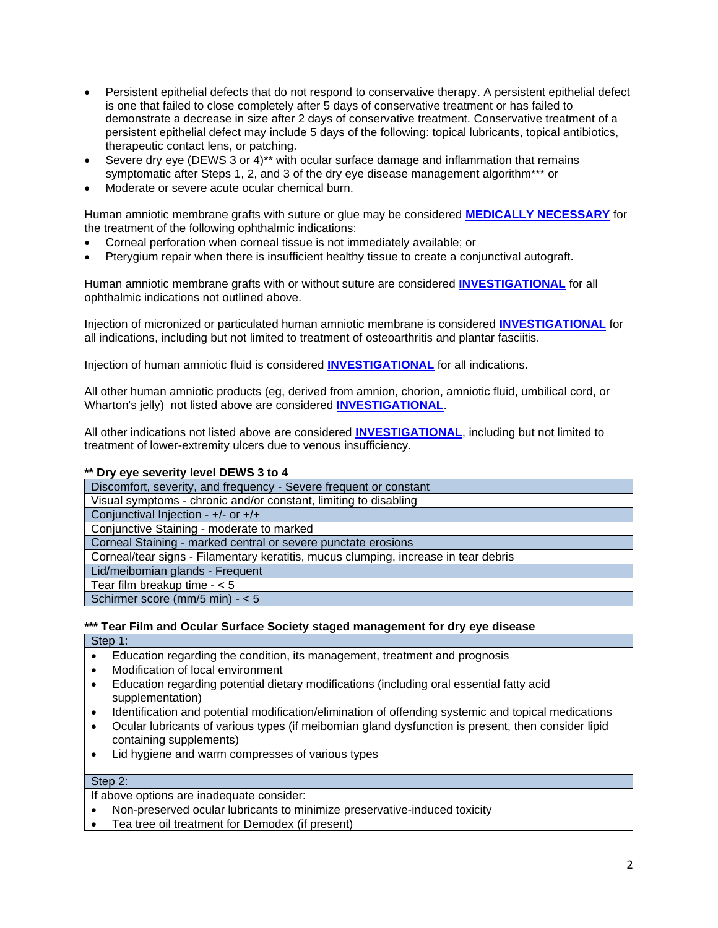- Persistent epithelial defects that do not respond to conservative therapy. A persistent epithelial defect is one that failed to close completely after 5 days of conservative treatment or has failed to demonstrate a decrease in size after 2 days of conservative treatment. Conservative treatment of a persistent epithelial defect may include 5 days of the following: topical lubricants, topical antibiotics, therapeutic contact lens, or patching.
- Severe dry eye (DEWS 3 or 4)<sup>\*\*</sup> with ocular surface damage and inflammation that remains symptomatic after Steps 1, 2, and 3 of the dry eye disease management algorithm\*\*\* or
- Moderate or severe acute ocular chemical burn.

Human amniotic membrane grafts with suture or glue may be considered **[MEDICALLY NECESSARY](https://www.bluecrossma.org/medical-policies/sites/g/files/csphws2091/files/acquiadam-assets/Definition%20of%20Med%20Nec%20Inv%20Not%20Med%20Nec%20prn.pdf#page=1)** for the treatment of the following ophthalmic indications:

- Corneal perforation when corneal tissue is not immediately available; or
- Pterygium repair when there is insufficient healthy tissue to create a conjunctival autograft.

Human amniotic membrane grafts with or without suture are considered **[INVESTIGATIONAL](https://www.bluecrossma.org/medical-policies/sites/g/files/csphws2091/files/acquiadam-assets/Definition%20of%20Med%20Nec%20Inv%20Not%20Med%20Nec%20prn.pdf#page=1)** for all ophthalmic indications not outlined above.

Injection of micronized or particulated human amniotic membrane is considered **[INVESTIGATIONAL](https://www.bluecrossma.org/medical-policies/sites/g/files/csphws2091/files/acquiadam-assets/Definition%20of%20Med%20Nec%20Inv%20Not%20Med%20Nec%20prn.pdf#page=1)** for all indications, including but not limited to treatment of osteoarthritis and plantar fasciitis.

Injection of human amniotic fluid is considered **[INVESTIGATIONAL](https://www.bluecrossma.org/medical-policies/sites/g/files/csphws2091/files/acquiadam-assets/Definition%20of%20Med%20Nec%20Inv%20Not%20Med%20Nec%20prn.pdf#page=1)** for all indications.

All other human amniotic products (eg, derived from amnion, chorion, amniotic fluid, umbilical cord, or Wharton's jelly) not listed above are considered **[INVESTIGATIONAL](https://www.bluecrossma.org/medical-policies/sites/g/files/csphws2091/files/acquiadam-assets/Definition%20of%20Med%20Nec%20Inv%20Not%20Med%20Nec%20prn.pdf#page=1)**.

All other indications not listed above are considered **[INVESTIGATIONAL](https://www.bluecrossma.org/medical-policies/sites/g/files/csphws2091/files/acquiadam-assets/Definition%20of%20Med%20Nec%20Inv%20Not%20Med%20Nec%20prn.pdf#page=1)**, including but not limited to treatment of lower-extremity ulcers due to venous insufficiency.

#### **\*\* Dry eye severity level DEWS 3 to 4**

Discomfort, severity, and frequency - Severe frequent or constant Visual symptoms - chronic and/or constant, limiting to disabling Conjunctival Injection - +/- or +/+ Conjunctive Staining - moderate to marked Corneal Staining - marked central or severe punctate erosions Corneal/tear signs - Filamentary keratitis, mucus clumping, increase in tear debris Lid/meibomian glands - Frequent Tear film breakup time - < 5 Schirmer score (mm/5 min) - < 5

### **\*\*\* Tear Film and Ocular Surface Society staged management for dry eye disease**

Step 1:

- Education regarding the condition, its management, treatment and prognosis
- Modification of local environment
- Education regarding potential dietary modifications (including oral essential fatty acid supplementation)
- Identification and potential modification/elimination of offending systemic and topical medications
- Ocular lubricants of various types (if meibomian gland dysfunction is present, then consider lipid containing supplements)
- Lid hygiene and warm compresses of various types

### Step 2:

If above options are inadequate consider:

- Non-preserved ocular lubricants to minimize preservative-induced toxicity
- Tea tree oil treatment for Demodex (if present)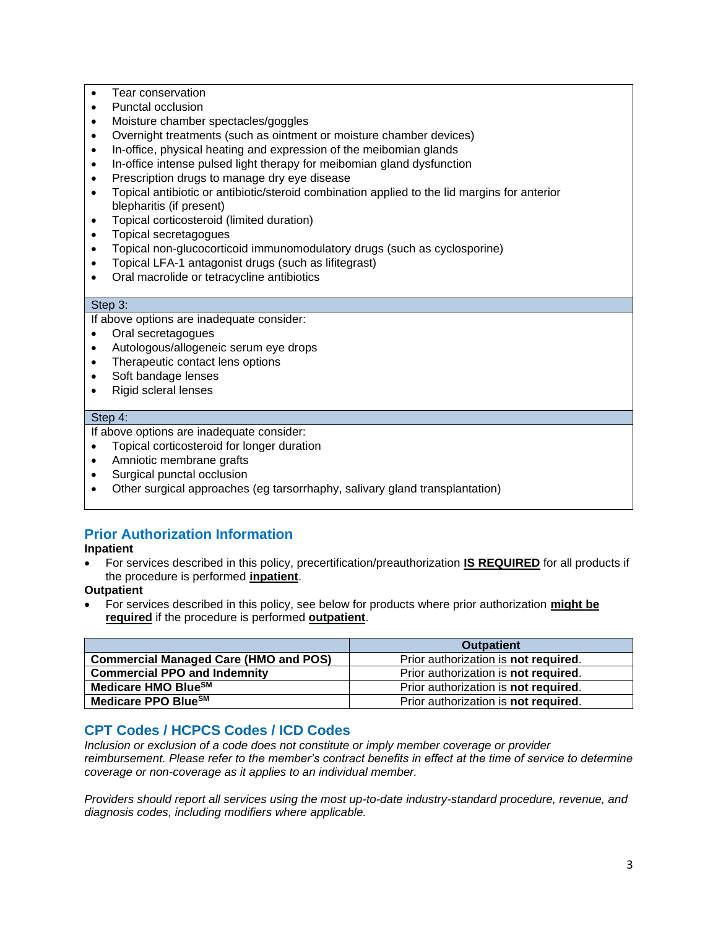- Tear conservation
- Punctal occlusion
- Moisture chamber spectacles/goggles
- Overnight treatments (such as ointment or moisture chamber devices)
- In-office, physical heating and expression of the meibomian glands
- In-office intense pulsed light therapy for meibomian gland dysfunction
- Prescription drugs to manage dry eye disease
- Topical antibiotic or antibiotic/steroid combination applied to the lid margins for anterior blepharitis (if present)
- Topical corticosteroid (limited duration)
- Topical secretagogues
- Topical non-glucocorticoid immunomodulatory drugs (such as cyclosporine)
- Topical LFA-1 antagonist drugs (such as lifitegrast)
- Oral macrolide or tetracycline antibiotics

### Step 3:

If above options are inadequate consider:

- Oral secretagogues
- Autologous/allogeneic serum eye drops
- Therapeutic contact lens options
- Soft bandage lenses
- Rigid scleral lenses

#### Step 4:

If above options are inadequate consider:

- Topical corticosteroid for longer duration
- Amniotic membrane grafts
- Surgical punctal occlusion
- Other surgical approaches (eg tarsorrhaphy, salivary gland transplantation)

## <span id="page-2-1"></span>**Prior Authorization Information**

**Inpatient**

• For services described in this policy, precertification/preauthorization **IS REQUIRED** for all products if the procedure is performed **inpatient**.

**Outpatient**

• For services described in this policy, see below for products where prior authorization **might be required** if the procedure is performed **outpatient**.

|                                              | <b>Outpatient</b>                           |
|----------------------------------------------|---------------------------------------------|
| <b>Commercial Managed Care (HMO and POS)</b> | Prior authorization is not required.        |
| <b>Commercial PPO and Indemnity</b>          | Prior authorization is not required.        |
| Medicare HMO Blue <sup>SM</sup>              | Prior authorization is <b>not required.</b> |
| Medicare PPO Blue <sup>SM</sup>              | Prior authorization is not required.        |

### <span id="page-2-0"></span>**CPT Codes / HCPCS Codes / ICD Codes**

*Inclusion or exclusion of a code does not constitute or imply member coverage or provider reimbursement. Please refer to the member's contract benefits in effect at the time of service to determine coverage or non-coverage as it applies to an individual member.*

*Providers should report all services using the most up-to-date industry-standard procedure, revenue, and diagnosis codes, including modifiers where applicable.*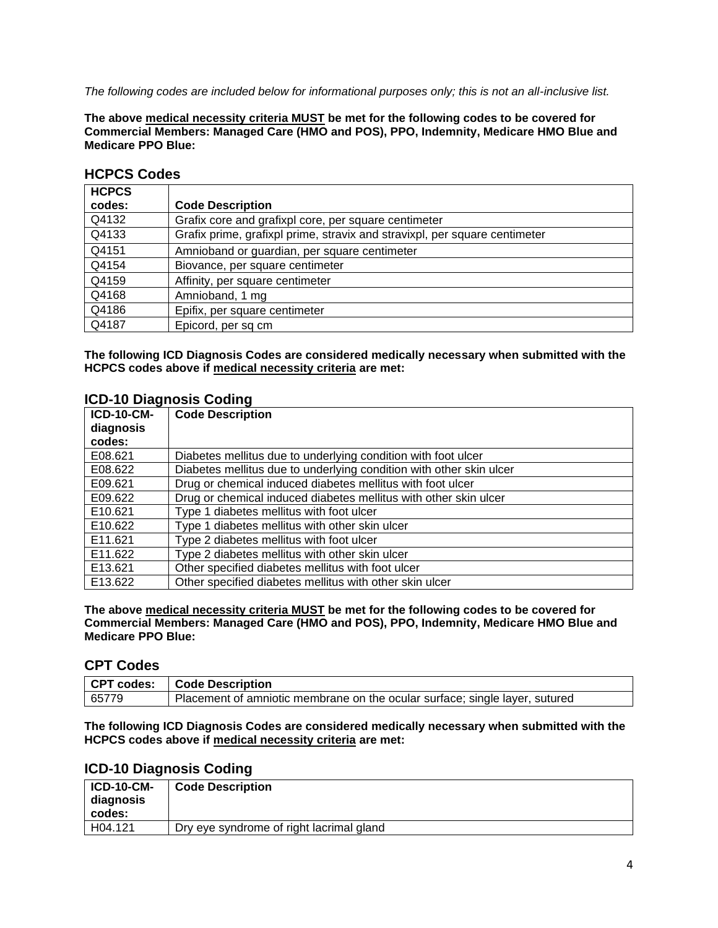*The following codes are included below for informational purposes only; this is not an all-inclusive list.*

**The above medical necessity criteria MUST be met for the following codes to be covered for Commercial Members: Managed Care (HMO and POS), PPO, Indemnity, Medicare HMO Blue and Medicare PPO Blue:**

| <b>HCPCS</b> |                                                                            |
|--------------|----------------------------------------------------------------------------|
| codes:       | <b>Code Description</b>                                                    |
| Q4132        | Grafix core and grafixpl core, per square centimeter                       |
| Q4133        | Grafix prime, grafixpl prime, stravix and stravixpl, per square centimeter |
| Q4151        | Amnioband or guardian, per square centimeter                               |
| Q4154        | Biovance, per square centimeter                                            |
| Q4159        | Affinity, per square centimeter                                            |
| Q4168        | Amnioband, 1 mg                                                            |
| Q4186        | Epifix, per square centimeter                                              |
| Q4187        | Epicord, per sq cm                                                         |

### **HCPCS Codes**

**The following ICD Diagnosis Codes are considered medically necessary when submitted with the HCPCS codes above if medical necessity criteria are met:**

### **ICD-10 Diagnosis Coding**

| <b>ICD-10-CM-</b><br>diagnosis | <b>Code Description</b>                                             |
|--------------------------------|---------------------------------------------------------------------|
| codes:                         |                                                                     |
| E08.621                        | Diabetes mellitus due to underlying condition with foot ulcer       |
| E08.622                        | Diabetes mellitus due to underlying condition with other skin ulcer |
| E09.621                        | Drug or chemical induced diabetes mellitus with foot ulcer          |
| E09.622                        | Drug or chemical induced diabetes mellitus with other skin ulcer    |
| E10.621                        | Type 1 diabetes mellitus with foot ulcer                            |
| E10.622                        | Type 1 diabetes mellitus with other skin ulcer                      |
| E11.621                        | Type 2 diabetes mellitus with foot ulcer                            |
| E11.622                        | Type 2 diabetes mellitus with other skin ulcer                      |
| E13.621                        | Other specified diabetes mellitus with foot ulcer                   |
| E13.622                        | Other specified diabetes mellitus with other skin ulcer             |

**The above medical necessity criteria MUST be met for the following codes to be covered for Commercial Members: Managed Care (HMO and POS), PPO, Indemnity, Medicare HMO Blue and Medicare PPO Blue:**

### **CPT Codes**

|       | CPT codes:   Code Description                                               |
|-------|-----------------------------------------------------------------------------|
| 65779 | Placement of amniotic membrane on the ocular surface; single layer, sutured |

**The following ICD Diagnosis Codes are considered medically necessary when submitted with the HCPCS codes above if medical necessity criteria are met:**

### **ICD-10 Diagnosis Coding**

| <b>ICD-10-CM-</b><br>diagnosis<br>codes: | <b>Code Description</b>                  |
|------------------------------------------|------------------------------------------|
| H04.121                                  | Dry eye syndrome of right lacrimal gland |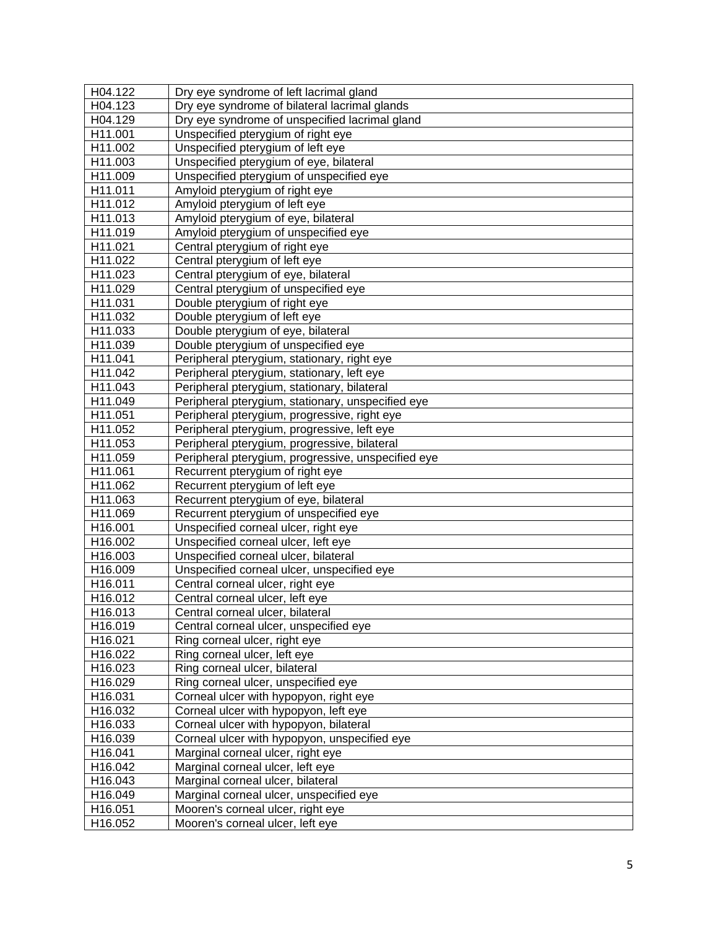| H04.122             | Dry eye syndrome of left lacrimal gland            |
|---------------------|----------------------------------------------------|
| H04.123             | Dry eye syndrome of bilateral lacrimal glands      |
| H04.129             | Dry eye syndrome of unspecified lacrimal gland     |
| H11.001             | Unspecified pterygium of right eye                 |
| H11.002             | Unspecified pterygium of left eye                  |
| H <sub>11.003</sub> | Unspecified pterygium of eye, bilateral            |
| H11.009             | Unspecified pterygium of unspecified eye           |
| H11.011             | Amyloid pterygium of right eye                     |
| H11.012             | Amyloid pterygium of left eye                      |
| H11.013             | Amyloid pterygium of eye, bilateral                |
| H11.019             | Amyloid pterygium of unspecified eye               |
| H11.021             | Central pterygium of right eye                     |
| H11.022             | Central pterygium of left eye                      |
| H11.023             | Central pterygium of eye, bilateral                |
| H11.029             | Central pterygium of unspecified eye               |
| H11.031             | Double pterygium of right eye                      |
| H11.032             | Double pterygium of left eye                       |
| H11.033             | Double pterygium of eye, bilateral                 |
| H11.039             | Double pterygium of unspecified eye                |
| H11.041             | Peripheral pterygium, stationary, right eye        |
| H11.042             | Peripheral pterygium, stationary, left eye         |
| H11.043             | Peripheral pterygium, stationary, bilateral        |
| H11.049             | Peripheral pterygium, stationary, unspecified eye  |
| H11.051             | Peripheral pterygium, progressive, right eye       |
| H11.052             | Peripheral pterygium, progressive, left eye        |
| H11.053             | Peripheral pterygium, progressive, bilateral       |
| H11.059             | Peripheral pterygium, progressive, unspecified eye |
| H11.061             | Recurrent pterygium of right eye                   |
| H11.062             | Recurrent pterygium of left eye                    |
| H11.063             | Recurrent pterygium of eye, bilateral              |
| H11.069             | Recurrent pterygium of unspecified eye             |
| H16.001             | Unspecified corneal ulcer, right eye               |
| H16.002             | Unspecified corneal ulcer, left eye                |
| H16.003             | Unspecified corneal ulcer, bilateral               |
| H16.009             | Unspecified corneal ulcer, unspecified eye         |
| H16.011             | Central corneal ulcer, right eye                   |
| H16.012             | Central corneal ulcer, left eye                    |
| H16.013             | Central corneal ulcer, bilateral                   |
| H16.019             | Central corneal ulcer, unspecified eye             |
| H16.021             | Ring corneal ulcer, right eye                      |
| H16.022             | Ring corneal ulcer, left eye                       |
| H16.023             | Ring corneal ulcer, bilateral                      |
| H16.029             | Ring corneal ulcer, unspecified eye                |
| H16.031             | Corneal ulcer with hypopyon, right eye             |
| H16.032             | Corneal ulcer with hypopyon, left eye              |
| H16.033             | Corneal ulcer with hypopyon, bilateral             |
| H16.039             | Corneal ulcer with hypopyon, unspecified eye       |
| H16.041             | Marginal corneal ulcer, right eye                  |
| H16.042             | Marginal corneal ulcer, left eye                   |
| H16.043             | Marginal corneal ulcer, bilateral                  |
| H16.049             | Marginal corneal ulcer, unspecified eye            |
| H16.051             | Mooren's corneal ulcer, right eye                  |
| H16.052             | Mooren's corneal ulcer, left eye                   |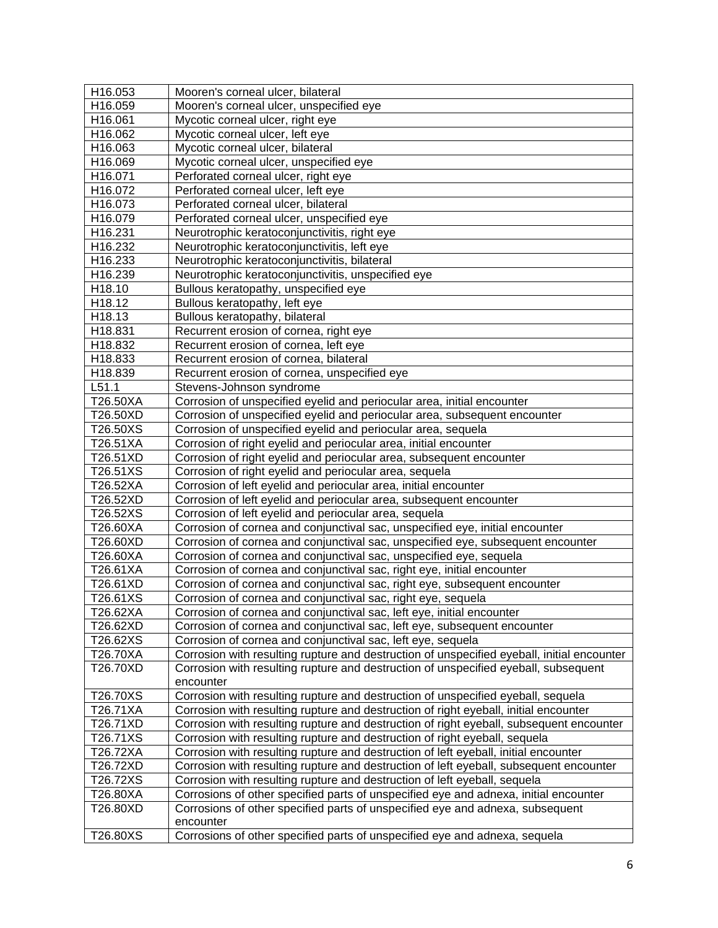| H16.053            | Mooren's corneal ulcer, bilateral                                                          |
|--------------------|--------------------------------------------------------------------------------------------|
| H16.059            | Mooren's corneal ulcer, unspecified eye                                                    |
| H16.061            | Mycotic corneal ulcer, right eye                                                           |
| H16.062            | Mycotic corneal ulcer, left eye                                                            |
| H16.063            | Mycotic corneal ulcer, bilateral                                                           |
| H16.069            | Mycotic corneal ulcer, unspecified eye                                                     |
| H16.071            | Perforated corneal ulcer, right eye                                                        |
| H16.072            | Perforated corneal ulcer, left eye                                                         |
| H16.073            | Perforated corneal ulcer, bilateral                                                        |
| H16.079            | Perforated corneal ulcer, unspecified eye                                                  |
| H16.231            | Neurotrophic keratoconjunctivitis, right eye                                               |
| H16.232            | Neurotrophic keratoconjunctivitis, left eye                                                |
| H16.233            | Neurotrophic keratoconjunctivitis, bilateral                                               |
| H16.239            | Neurotrophic keratoconjunctivitis, unspecified eye                                         |
| H18.10             | Bullous keratopathy, unspecified eye                                                       |
| H <sub>18.12</sub> | Bullous keratopathy, left eye                                                              |
| H18.13             | Bullous keratopathy, bilateral                                                             |
| H18.831            | Recurrent erosion of cornea, right eye                                                     |
| H18.832            | Recurrent erosion of cornea, left eye                                                      |
| H18.833            | Recurrent erosion of cornea, bilateral                                                     |
| H18.839            | Recurrent erosion of cornea, unspecified eye                                               |
| L51.1              | Stevens-Johnson syndrome                                                                   |
| T26.50XA           | Corrosion of unspecified eyelid and periocular area, initial encounter                     |
| T26.50XD           | Corrosion of unspecified eyelid and periocular area, subsequent encounter                  |
| T26.50XS           | Corrosion of unspecified eyelid and periocular area, sequela                               |
| T26.51XA           | Corrosion of right eyelid and periocular area, initial encounter                           |
| T26.51XD           | Corrosion of right eyelid and periocular area, subsequent encounter                        |
| T26.51XS           | Corrosion of right eyelid and periocular area, sequela                                     |
| T26.52XA           | Corrosion of left eyelid and periocular area, initial encounter                            |
| T26.52XD           | Corrosion of left eyelid and periocular area, subsequent encounter                         |
| T26.52XS           | Corrosion of left eyelid and periocular area, sequela                                      |
| T26.60XA           | Corrosion of cornea and conjunctival sac, unspecified eye, initial encounter               |
| T26.60XD           | Corrosion of cornea and conjunctival sac, unspecified eye, subsequent encounter            |
| T26.60XA           | Corrosion of cornea and conjunctival sac, unspecified eye, sequela                         |
| T26.61XA           | Corrosion of cornea and conjunctival sac, right eye, initial encounter                     |
| T26.61XD           | Corrosion of cornea and conjunctival sac, right eye, subsequent encounter                  |
| T26.61XS           | Corrosion of cornea and conjunctival sac, right eye, sequela                               |
| T26.62XA           | Corrosion of cornea and conjunctival sac, left eye, initial encounter                      |
| T26.62XD           | Corrosion of cornea and conjunctival sac, left eye, subsequent encounter                   |
| T26.62XS           | Corrosion of cornea and conjunctival sac, left eye, sequela                                |
| T26.70XA           | Corrosion with resulting rupture and destruction of unspecified eyeball, initial encounter |
| T26.70XD           | Corrosion with resulting rupture and destruction of unspecified eyeball, subsequent        |
|                    | encounter                                                                                  |
| T26.70XS           | Corrosion with resulting rupture and destruction of unspecified eyeball, sequela           |
| T26.71XA           | Corrosion with resulting rupture and destruction of right eyeball, initial encounter       |
| T26.71XD           | Corrosion with resulting rupture and destruction of right eyeball, subsequent encounter    |
| T26.71XS           | Corrosion with resulting rupture and destruction of right eyeball, sequela                 |
| T26.72XA           | Corrosion with resulting rupture and destruction of left eyeball, initial encounter        |
| T26.72XD           | Corrosion with resulting rupture and destruction of left eyeball, subsequent encounter     |
| T26.72XS           | Corrosion with resulting rupture and destruction of left eyeball, sequela                  |
| T26.80XA           | Corrosions of other specified parts of unspecified eye and adnexa, initial encounter       |
| T26.80XD           | Corrosions of other specified parts of unspecified eye and adnexa, subsequent              |
|                    | encounter                                                                                  |
| T26.80XS           | Corrosions of other specified parts of unspecified eye and adnexa, sequela                 |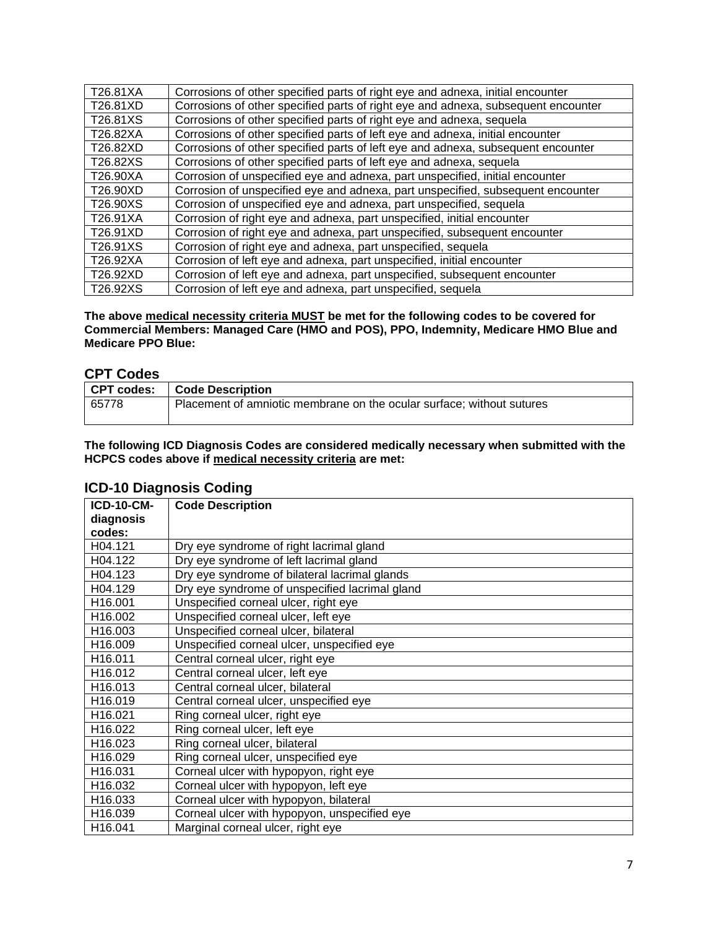| T26.81XA | Corrosions of other specified parts of right eye and adnexa, initial encounter    |
|----------|-----------------------------------------------------------------------------------|
| T26.81XD | Corrosions of other specified parts of right eye and adnexa, subsequent encounter |
| T26.81XS | Corrosions of other specified parts of right eye and adnexa, sequela              |
| T26.82XA | Corrosions of other specified parts of left eye and adnexa, initial encounter     |
| T26.82XD | Corrosions of other specified parts of left eye and adnexa, subsequent encounter  |
| T26.82XS | Corrosions of other specified parts of left eye and adnexa, sequela               |
| T26.90XA | Corrosion of unspecified eye and adnexa, part unspecified, initial encounter      |
| T26.90XD | Corrosion of unspecified eye and adnexa, part unspecified, subsequent encounter   |
| T26.90XS | Corrosion of unspecified eye and adnexa, part unspecified, sequela                |
| T26.91XA | Corrosion of right eye and adnexa, part unspecified, initial encounter            |
| T26.91XD | Corrosion of right eye and adnexa, part unspecified, subsequent encounter         |
| T26.91XS | Corrosion of right eye and adnexa, part unspecified, sequela                      |
| T26.92XA | Corrosion of left eye and adnexa, part unspecified, initial encounter             |
| T26.92XD | Corrosion of left eye and adnexa, part unspecified, subsequent encounter          |
| T26.92XS | Corrosion of left eye and adnexa, part unspecified, sequela                       |

**The above medical necessity criteria MUST be met for the following codes to be covered for Commercial Members: Managed Care (HMO and POS), PPO, Indemnity, Medicare HMO Blue and Medicare PPO Blue:**

### **CPT Codes**

| --------- |                                                                       |
|-----------|-----------------------------------------------------------------------|
|           | CPT codes:   Code Description                                         |
| 65778     | Placement of amniotic membrane on the ocular surface; without sutures |

**The following ICD Diagnosis Codes are considered medically necessary when submitted with the HCPCS codes above if medical necessity criteria are met:**

## **ICD-10 Diagnosis Coding**

| <b>ICD-10-CM-</b>   | <b>Code Description</b>                        |
|---------------------|------------------------------------------------|
| diagnosis           |                                                |
| codes:              |                                                |
| H04.121             | Dry eye syndrome of right lacrimal gland       |
| H04.122             | Dry eye syndrome of left lacrimal gland        |
| H04.123             | Dry eye syndrome of bilateral lacrimal glands  |
| H04.129             | Dry eye syndrome of unspecified lacrimal gland |
| H <sub>16.001</sub> | Unspecified corneal ulcer, right eye           |
| H16.002             | Unspecified corneal ulcer, left eye            |
| H <sub>16.003</sub> | Unspecified corneal ulcer, bilateral           |
| H16.009             | Unspecified corneal ulcer, unspecified eye     |
| H16.011             | Central corneal ulcer, right eye               |
| H16.012             | Central corneal ulcer, left eye                |
| H16.013             | Central corneal ulcer, bilateral               |
| H <sub>16.019</sub> | Central corneal ulcer, unspecified eye         |
| H16.021             | Ring corneal ulcer, right eye                  |
| H16.022             | Ring corneal ulcer, left eye                   |
| H16.023             | Ring corneal ulcer, bilateral                  |
| H16.029             | Ring corneal ulcer, unspecified eye            |
| H16.031             | Corneal ulcer with hypopyon, right eye         |
| H16.032             | Corneal ulcer with hypopyon, left eye          |
| H16.033             | Corneal ulcer with hypopyon, bilateral         |
| H16.039             | Corneal ulcer with hypopyon, unspecified eye   |
| H16.041             | Marginal corneal ulcer, right eye              |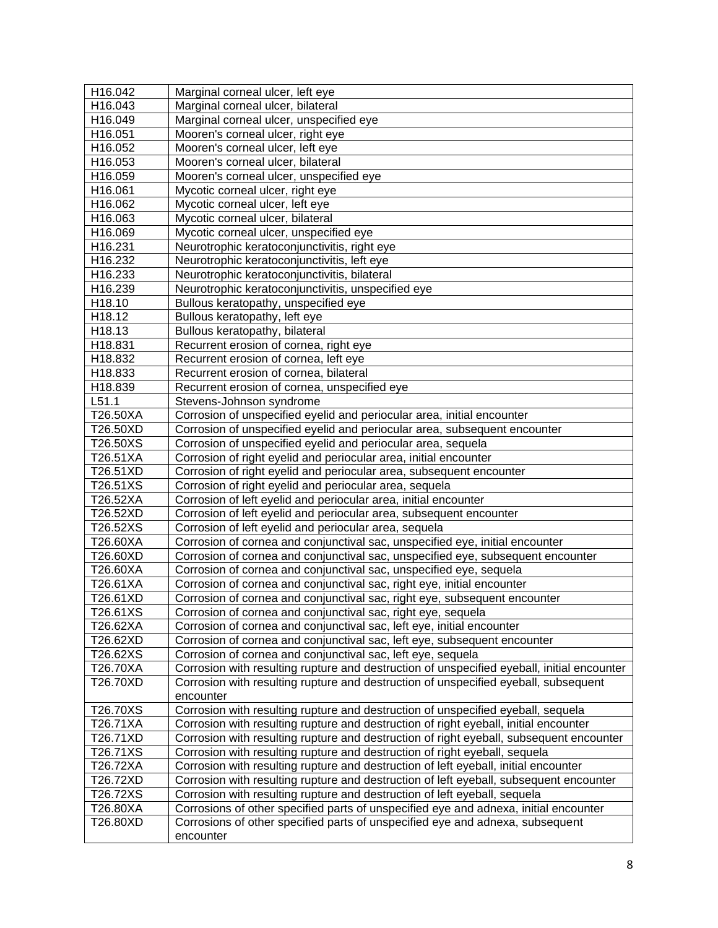| H16.042  | Marginal corneal ulcer, left eye                                                           |
|----------|--------------------------------------------------------------------------------------------|
| H16.043  | Marginal corneal ulcer, bilateral                                                          |
| H16.049  | Marginal corneal ulcer, unspecified eye                                                    |
| H16.051  | Mooren's corneal ulcer, right eye                                                          |
| H16.052  | Mooren's corneal ulcer, left eye                                                           |
| H16.053  | Mooren's corneal ulcer, bilateral                                                          |
| H16.059  | Mooren's corneal ulcer, unspecified eye                                                    |
| H16.061  | Mycotic corneal ulcer, right eye                                                           |
| H16.062  | Mycotic corneal ulcer, left eye                                                            |
| H16.063  | Mycotic corneal ulcer, bilateral                                                           |
| H16.069  | Mycotic corneal ulcer, unspecified eye                                                     |
| H16.231  | Neurotrophic keratoconjunctivitis, right eye                                               |
| H16.232  | Neurotrophic keratoconjunctivitis, left eye                                                |
| H16.233  | Neurotrophic keratoconjunctivitis, bilateral                                               |
| H16.239  | Neurotrophic keratoconjunctivitis, unspecified eye                                         |
| H18.10   | Bullous keratopathy, unspecified eye                                                       |
| H18.12   | Bullous keratopathy, left eye                                                              |
| H18.13   | Bullous keratopathy, bilateral                                                             |
| H18.831  | Recurrent erosion of cornea, right eye                                                     |
| H18.832  | Recurrent erosion of cornea, left eye                                                      |
| H18.833  | Recurrent erosion of cornea, bilateral                                                     |
| H18.839  | Recurrent erosion of cornea, unspecified eye                                               |
| L51.1    | Stevens-Johnson syndrome                                                                   |
| T26.50XA | Corrosion of unspecified eyelid and periocular area, initial encounter                     |
| T26.50XD | Corrosion of unspecified eyelid and periocular area, subsequent encounter                  |
| T26.50XS | Corrosion of unspecified eyelid and periocular area, sequela                               |
| T26.51XA | Corrosion of right eyelid and periocular area, initial encounter                           |
| T26.51XD | Corrosion of right eyelid and periocular area, subsequent encounter                        |
| T26.51XS | Corrosion of right eyelid and periocular area, sequela                                     |
| T26.52XA | Corrosion of left eyelid and periocular area, initial encounter                            |
| T26.52XD | Corrosion of left eyelid and periocular area, subsequent encounter                         |
| T26.52XS | Corrosion of left eyelid and periocular area, sequela                                      |
| T26.60XA | Corrosion of cornea and conjunctival sac, unspecified eye, initial encounter               |
| T26.60XD | Corrosion of cornea and conjunctival sac, unspecified eye, subsequent encounter            |
| T26.60XA | Corrosion of cornea and conjunctival sac, unspecified eye, sequela                         |
| T26.61XA | Corrosion of cornea and conjunctival sac, right eye, initial encounter                     |
| T26.61XD | Corrosion of cornea and conjunctival sac, right eye, subsequent encounter                  |
| T26.61XS | Corrosion of cornea and conjunctival sac, right eye, sequela                               |
| T26.62XA | Corrosion of cornea and conjunctival sac, left eye, initial encounter                      |
| T26.62XD | Corrosion of cornea and conjunctival sac, left eye, subsequent encounter                   |
| T26.62XS | Corrosion of cornea and conjunctival sac, left eye, sequela                                |
| T26.70XA | Corrosion with resulting rupture and destruction of unspecified eyeball, initial encounter |
| T26.70XD | Corrosion with resulting rupture and destruction of unspecified eyeball, subsequent        |
|          | encounter                                                                                  |
| T26.70XS | Corrosion with resulting rupture and destruction of unspecified eyeball, sequela           |
| T26.71XA | Corrosion with resulting rupture and destruction of right eyeball, initial encounter       |
| T26.71XD | Corrosion with resulting rupture and destruction of right eyeball, subsequent encounter    |
| T26.71XS | Corrosion with resulting rupture and destruction of right eyeball, sequela                 |
| T26.72XA | Corrosion with resulting rupture and destruction of left eyeball, initial encounter        |
| T26.72XD | Corrosion with resulting rupture and destruction of left eyeball, subsequent encounter     |
| T26.72XS | Corrosion with resulting rupture and destruction of left eyeball, sequela                  |
| T26.80XA | Corrosions of other specified parts of unspecified eye and adnexa, initial encounter       |
| T26.80XD | Corrosions of other specified parts of unspecified eye and adnexa, subsequent              |
|          | encounter                                                                                  |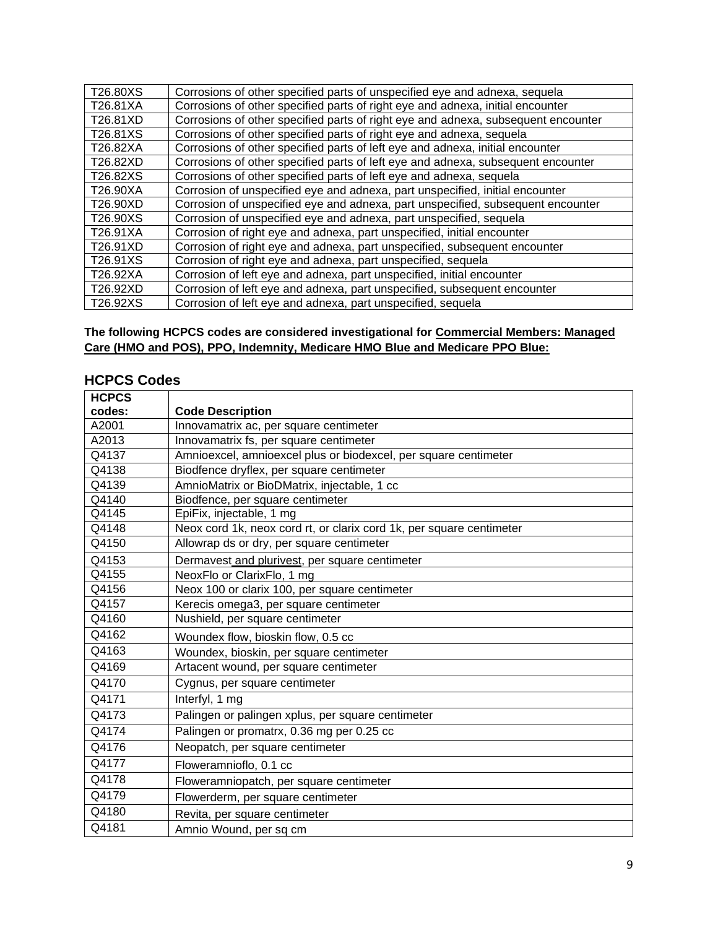| Corrosions of other specified parts of right eye and adnexa, initial encounter    |
|-----------------------------------------------------------------------------------|
| Corrosions of other specified parts of right eye and adnexa, subsequent encounter |
|                                                                                   |
|                                                                                   |
| Corrosions of other specified parts of left eye and adnexa, subsequent encounter  |
|                                                                                   |
|                                                                                   |
| Corrosion of unspecified eye and adnexa, part unspecified, subsequent encounter   |
|                                                                                   |
|                                                                                   |
|                                                                                   |
|                                                                                   |
|                                                                                   |
|                                                                                   |
|                                                                                   |
| Corrosion of unspecified eye and adnexa, part unspecified, initial encounter      |

### **The following HCPCS codes are considered investigational for Commercial Members: Managed Care (HMO and POS), PPO, Indemnity, Medicare HMO Blue and Medicare PPO Blue:**

## **HCPCS Codes**

| <b>HCPCS</b> |                                                                      |
|--------------|----------------------------------------------------------------------|
| codes:       | <b>Code Description</b>                                              |
| A2001        | Innovamatrix ac, per square centimeter                               |
| A2013        | Innovamatrix fs, per square centimeter                               |
| Q4137        | Amnioexcel, amnioexcel plus or biodexcel, per square centimeter      |
| Q4138        | Biodfence dryflex, per square centimeter                             |
| Q4139        | AmnioMatrix or BioDMatrix, injectable, 1 cc                          |
| Q4140        | Biodfence, per square centimeter                                     |
| Q4145        | EpiFix, injectable, 1 mg                                             |
| Q4148        | Neox cord 1k, neox cord rt, or clarix cord 1k, per square centimeter |
| Q4150        | Allowrap ds or dry, per square centimeter                            |
| Q4153        | Dermavest and plurivest, per square centimeter                       |
| Q4155        | NeoxFlo or ClarixFlo, 1 mg                                           |
| Q4156        | Neox 100 or clarix 100, per square centimeter                        |
| Q4157        | Kerecis omega3, per square centimeter                                |
| Q4160        | Nushield, per square centimeter                                      |
| Q4162        | Woundex flow, bioskin flow, 0.5 cc                                   |
| Q4163        | Woundex, bioskin, per square centimeter                              |
| Q4169        | Artacent wound, per square centimeter                                |
| Q4170        | Cygnus, per square centimeter                                        |
| Q4171        | Interfyl, 1 mg                                                       |
| Q4173        | Palingen or palingen xplus, per square centimeter                    |
| Q4174        | Palingen or promatrx, 0.36 mg per 0.25 cc                            |
| Q4176        | Neopatch, per square centimeter                                      |
| Q4177        | Floweramnioflo, 0.1 cc                                               |
| Q4178        | Floweramniopatch, per square centimeter                              |
| Q4179        | Flowerderm, per square centimeter                                    |
| Q4180        | Revita, per square centimeter                                        |
| Q4181        | Amnio Wound, per sq cm                                               |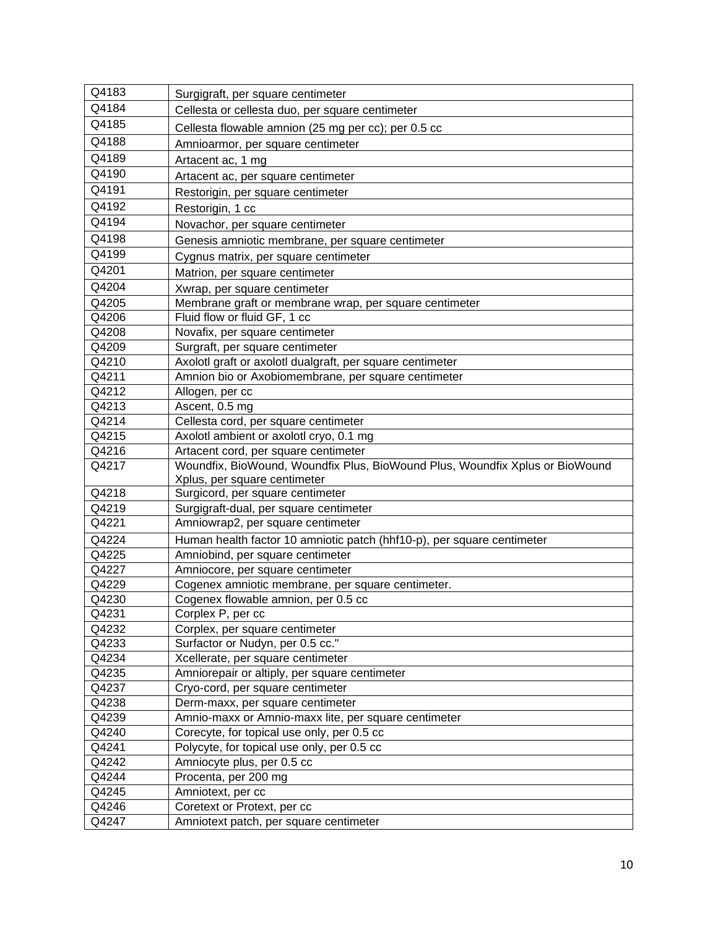| Q4183          | Surgigraft, per square centimeter                                            |
|----------------|------------------------------------------------------------------------------|
| Q4184          | Cellesta or cellesta duo, per square centimeter                              |
| Q4185          | Cellesta flowable amnion (25 mg per cc); per 0.5 cc                          |
| Q4188          | Amnioarmor, per square centimeter                                            |
| Q4189          | Artacent ac, 1 mg                                                            |
| Q4190          | Artacent ac, per square centimeter                                           |
| Q4191          | Restorigin, per square centimeter                                            |
| Q4192          | Restorigin, 1 cc                                                             |
| Q4194          | Novachor, per square centimeter                                              |
| Q4198          | Genesis amniotic membrane, per square centimeter                             |
| Q4199          | Cygnus matrix, per square centimeter                                         |
| Q4201          | Matrion, per square centimeter                                               |
| Q4204          | Xwrap, per square centimeter                                                 |
| Q4205          | Membrane graft or membrane wrap, per square centimeter                       |
| Q4206          | Fluid flow or fluid GF, 1 cc                                                 |
| Q4208          | Novafix, per square centimeter                                               |
| Q4209          | Surgraft, per square centimeter                                              |
| Q4210          | Axolotl graft or axolotl dualgraft, per square centimeter                    |
| Q4211          | Amnion bio or Axobiomembrane, per square centimeter                          |
| Q4212          | Allogen, per cc                                                              |
| Q4213          | Ascent, 0.5 mg                                                               |
| Q4214          | Cellesta cord, per square centimeter                                         |
| Q4215          | Axolotl ambient or axolotl cryo, 0.1 mg                                      |
| Q4216          | Artacent cord, per square centimeter                                         |
| Q4217          | Woundfix, BioWound, Woundfix Plus, BioWound Plus, Woundfix Xplus or BioWound |
| Q4218          | Xplus, per square centimeter                                                 |
| Q4219          | Surgicord, per square centimeter<br>Surgigraft-dual, per square centimeter   |
| Q4221          | Amniowrap2, per square centimeter                                            |
| Q4224          | Human health factor 10 amniotic patch (hhf10-p), per square centimeter       |
| Q4225          | Amniobind, per square centimeter                                             |
| Q4227          | Amniocore, per square centimeter                                             |
| Q4229          | Cogenex amniotic membrane, per square centimeter.                            |
| Q4230          | Cogenex flowable amnion, per 0.5 cc                                          |
| Q4231          | Corplex P, per cc                                                            |
| Q4232          | Corplex, per square centimeter                                               |
| Q4233          | Surfactor or Nudyn, per 0.5 cc."                                             |
| Q4234          | Xcellerate, per square centimeter                                            |
| Q4235          | Amniorepair or altiply, per square centimeter                                |
| Q4237          | Cryo-cord, per square centimeter                                             |
| Q4238          | Derm-maxx, per square centimeter                                             |
| Q4239          | Amnio-maxx or Amnio-maxx lite, per square centimeter                         |
| Q4240          | Corecyte, for topical use only, per 0.5 cc                                   |
|                |                                                                              |
| Q4241          | Polycyte, for topical use only, per 0.5 cc                                   |
| Q4242          | Amniocyte plus, per 0.5 cc                                                   |
| Q4244          | Procenta, per 200 mg                                                         |
| Q4245          | Amniotext, per cc                                                            |
| Q4246<br>Q4247 | Coretext or Protext, per cc<br>Amniotext patch, per square centimeter        |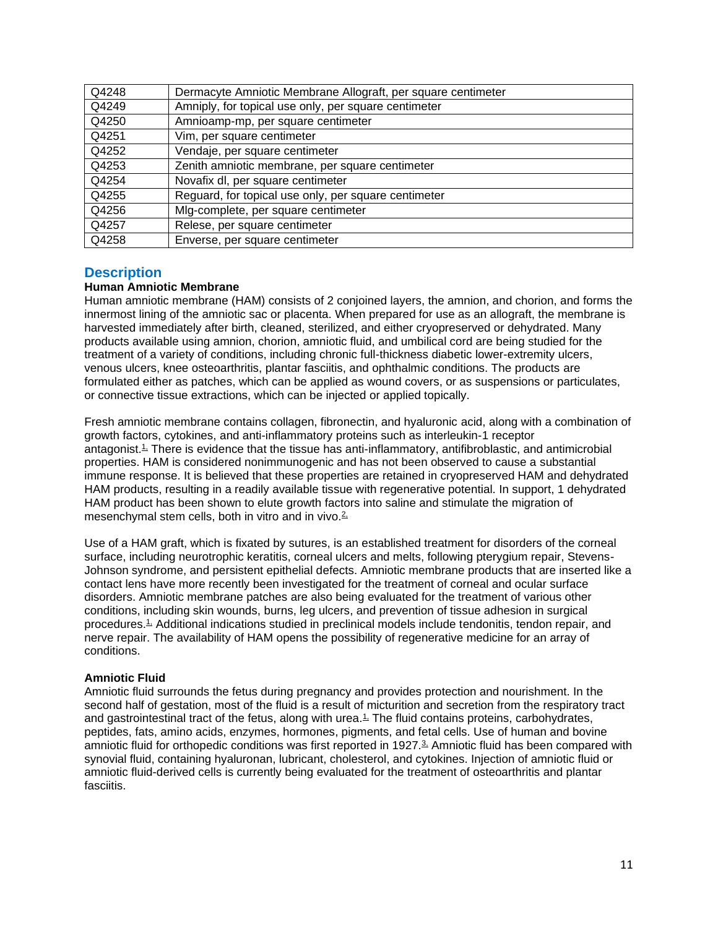| Q4248 | Dermacyte Amniotic Membrane Allograft, per square centimeter |
|-------|--------------------------------------------------------------|
| Q4249 | Amniply, for topical use only, per square centimeter         |
| Q4250 | Amnioamp-mp, per square centimeter                           |
| Q4251 | Vim, per square centimeter                                   |
| Q4252 | Vendaje, per square centimeter                               |
| Q4253 | Zenith amniotic membrane, per square centimeter              |
| Q4254 | Novafix dl, per square centimeter                            |
| Q4255 | Reguard, for topical use only, per square centimeter         |
| Q4256 | Mig-complete, per square centimeter                          |
| Q4257 | Relese, per square centimeter                                |
| Q4258 | Enverse, per square centimeter                               |

### <span id="page-10-0"></span>**Description**

### **Human Amniotic Membrane**

Human amniotic membrane (HAM) consists of 2 conjoined layers, the amnion, and chorion, and forms the innermost lining of the amniotic sac or placenta. When prepared for use as an allograft, the membrane is harvested immediately after birth, cleaned, sterilized, and either cryopreserved or dehydrated. Many products available using amnion, chorion, amniotic fluid, and umbilical cord are being studied for the treatment of a variety of conditions, including chronic full-thickness diabetic lower-extremity ulcers, venous ulcers, knee osteoarthritis, plantar fasciitis, and ophthalmic conditions. The products are formulated either as patches, which can be applied as wound covers, or as suspensions or particulates, or connective tissue extractions, which can be injected or applied topically.

Fresh amniotic membrane contains collagen, fibronectin, and hyaluronic acid, along with a combination of growth factors, cytokines, and anti-inflammatory proteins such as interleukin-1 receptor antagonist.<sup>1</sup> There is evidence that the tissue has anti-inflammatory, antifibroblastic, and antimicrobial properties. HAM is considered nonimmunogenic and has not been observed to cause a substantial immune response. It is believed that these properties are retained in cryopreserved HAM and dehydrated HAM products, resulting in a readily available tissue with regenerative potential. In support, 1 dehydrated HAM product has been shown to elute growth factors into saline and stimulate the migration of mesenchymal stem cells, both in vitro and in vivo. $2\overline{ }$ 

Use of a HAM graft, which is fixated by sutures, is an established treatment for disorders of the corneal surface, including neurotrophic keratitis, corneal ulcers and melts, following pterygium repair, Stevens-Johnson syndrome, and persistent epithelial defects. Amniotic membrane products that are inserted like a contact lens have more recently been investigated for the treatment of corneal and ocular surface disorders. Amniotic membrane patches are also being evaluated for the treatment of various other conditions, including skin wounds, burns, leg ulcers, and prevention of tissue adhesion in surgical procedures.<sup>1</sup> Additional indications studied in preclinical models include tendonitis, tendon repair, and nerve repair. The availability of HAM opens the possibility of regenerative medicine for an array of conditions.

#### **Amniotic Fluid**

Amniotic fluid surrounds the fetus during pregnancy and provides protection and nourishment. In the second half of gestation, most of the fluid is a result of micturition and secretion from the respiratory tract and gastrointestinal tract of the fetus, along with urea. $\frac{1}{n}$  The fluid contains proteins, carbohydrates, peptides, fats, amino acids, enzymes, hormones, pigments, and fetal cells. Use of human and bovine amniotic fluid for orthopedic conditions was first reported in 1927.<sup>3</sup> Amniotic fluid has been compared with synovial fluid, containing hyaluronan, lubricant, cholesterol, and cytokines. Injection of amniotic fluid or amniotic fluid-derived cells is currently being evaluated for the treatment of osteoarthritis and plantar fasciitis.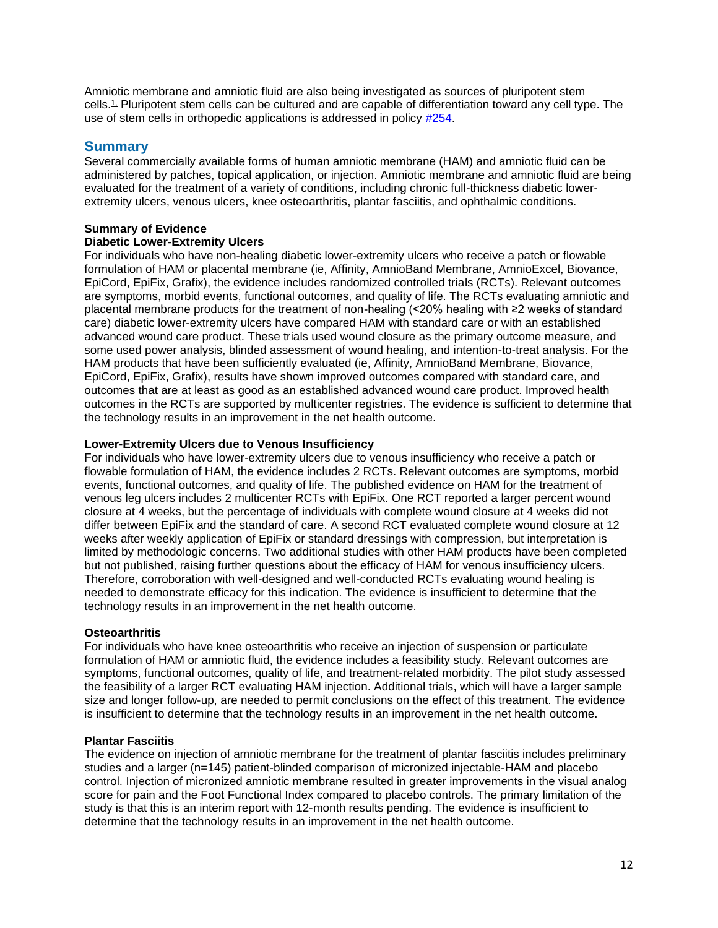Amniotic membrane and amniotic fluid are also being investigated as sources of pluripotent stem cells.[1,](https://www.evidencepositioningsystem.com/_w_0b4e04ee29a78cbb99e2b73e9d0633dedb0de44a307ad609/bcbsa_html/BCBSA/html/_blank) Pluripotent stem cells can be cultured and are capable of differentiation toward any cell type. The use of stem cells in orthopedic applications is addressed in policy [#254.](http://www.bluecrossma.org/medical-policies/sites/g/files/csphws2091/files/acquiadam-assets/254%20Orthopedic%20Applications%20of%20Stem%20Cell%20Therapy%20prn.pdf)

### **Summary**

Several commercially available forms of human amniotic membrane (HAM) and amniotic fluid can be administered by patches, topical application, or injection. Amniotic membrane and amniotic fluid are being evaluated for the treatment of a variety of conditions, including chronic full-thickness diabetic lowerextremity ulcers, venous ulcers, knee osteoarthritis, plantar fasciitis, and ophthalmic conditions.

### **Summary of Evidence**

### **Diabetic Lower-Extremity Ulcers**

For individuals who have non-healing diabetic lower-extremity ulcers who receive a patch or flowable formulation of HAM or placental membrane (ie, Affinity, AmnioBand Membrane, AmnioExcel, Biovance, EpiCord, EpiFix, Grafix), the evidence includes randomized controlled trials (RCTs). Relevant outcomes are symptoms, morbid events, functional outcomes, and quality of life. The RCTs evaluating amniotic and placental membrane products for the treatment of non-healing (<20% healing with ≥2 weeks of standard care) diabetic lower-extremity ulcers have compared HAM with standard care or with an established advanced wound care product. These trials used wound closure as the primary outcome measure, and some used power analysis, blinded assessment of wound healing, and intention-to-treat analysis. For the HAM products that have been sufficiently evaluated (ie, Affinity, AmnioBand Membrane, Biovance, EpiCord, EpiFix, Grafix), results have shown improved outcomes compared with standard care, and outcomes that are at least as good as an established advanced wound care product. Improved health outcomes in the RCTs are supported by multicenter registries. The evidence is sufficient to determine that the technology results in an improvement in the net health outcome.

### **Lower-Extremity Ulcers due to Venous Insufficiency**

For individuals who have lower-extremity ulcers due to venous insufficiency who receive a patch or flowable formulation of HAM, the evidence includes 2 RCTs. Relevant outcomes are symptoms, morbid events, functional outcomes, and quality of life. The published evidence on HAM for the treatment of venous leg ulcers includes 2 multicenter RCTs with EpiFix. One RCT reported a larger percent wound closure at 4 weeks, but the percentage of individuals with complete wound closure at 4 weeks did not differ between EpiFix and the standard of care. A second RCT evaluated complete wound closure at 12 weeks after weekly application of EpiFix or standard dressings with compression, but interpretation is limited by methodologic concerns. Two additional studies with other HAM products have been completed but not published, raising further questions about the efficacy of HAM for venous insufficiency ulcers. Therefore, corroboration with well-designed and well-conducted RCTs evaluating wound healing is needed to demonstrate efficacy for this indication. The evidence is insufficient to determine that the technology results in an improvement in the net health outcome.

#### **Osteoarthritis**

For individuals who have knee osteoarthritis who receive an injection of suspension or particulate formulation of HAM or amniotic fluid, the evidence includes a feasibility study. Relevant outcomes are symptoms, functional outcomes, quality of life, and treatment-related morbidity. The pilot study assessed the feasibility of a larger RCT evaluating HAM injection. Additional trials, which will have a larger sample size and longer follow-up, are needed to permit conclusions on the effect of this treatment. The evidence is insufficient to determine that the technology results in an improvement in the net health outcome.

#### **Plantar Fasciitis**

The evidence on injection of amniotic membrane for the treatment of plantar fasciitis includes preliminary studies and a larger (n=145) patient-blinded comparison of micronized injectable-HAM and placebo control. Injection of micronized amniotic membrane resulted in greater improvements in the visual analog score for pain and the Foot Functional Index compared to placebo controls. The primary limitation of the study is that this is an interim report with 12-month results pending. The evidence is insufficient to determine that the technology results in an improvement in the net health outcome.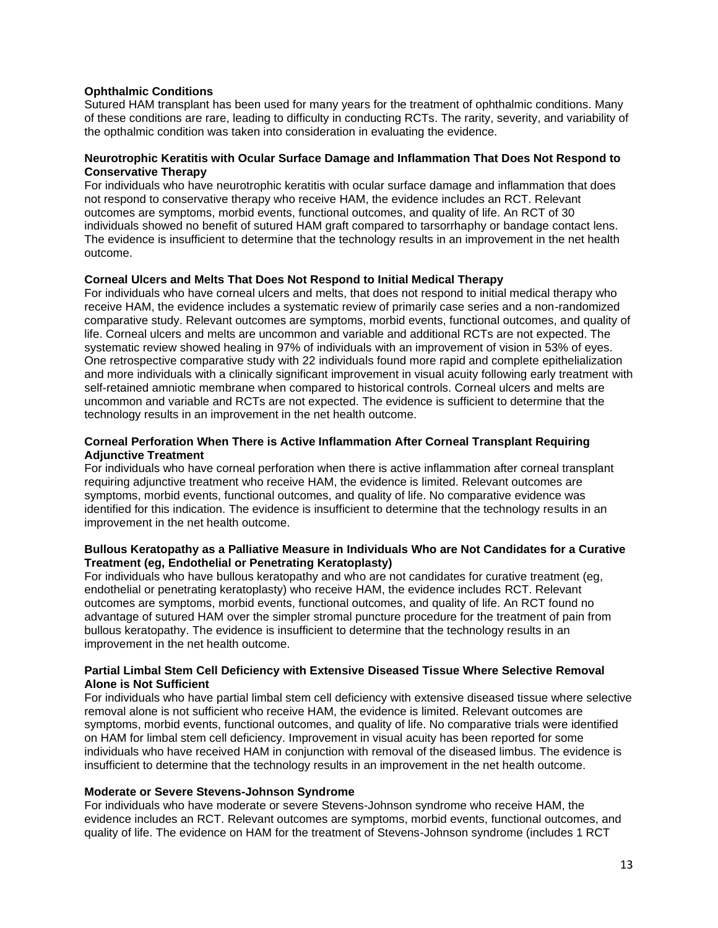### **Ophthalmic Conditions**

Sutured HAM transplant has been used for many years for the treatment of ophthalmic conditions. Many of these conditions are rare, leading to difficulty in conducting RCTs. The rarity, severity, and variability of the opthalmic condition was taken into consideration in evaluating the evidence.

### **Neurotrophic Keratitis with Ocular Surface Damage and Inflammation That Does Not Respond to Conservative Therapy**

For individuals who have neurotrophic keratitis with ocular surface damage and inflammation that does not respond to conservative therapy who receive HAM, the evidence includes an RCT. Relevant outcomes are symptoms, morbid events, functional outcomes, and quality of life. An RCT of 30 individuals showed no benefit of sutured HAM graft compared to tarsorrhaphy or bandage contact lens. The evidence is insufficient to determine that the technology results in an improvement in the net health outcome.

### **Corneal Ulcers and Melts That Does Not Respond to Initial Medical Therapy**

For individuals who have corneal ulcers and melts, that does not respond to initial medical therapy who receive HAM, the evidence includes a systematic review of primarily case series and a non-randomized comparative study. Relevant outcomes are symptoms, morbid events, functional outcomes, and quality of life. Corneal ulcers and melts are uncommon and variable and additional RCTs are not expected. The systematic review showed healing in 97% of individuals with an improvement of vision in 53% of eyes. One retrospective comparative study with 22 individuals found more rapid and complete epithelialization and more individuals with a clinically significant improvement in visual acuity following early treatment with self-retained amniotic membrane when compared to historical controls. Corneal ulcers and melts are uncommon and variable and RCTs are not expected. The evidence is sufficient to determine that the technology results in an improvement in the net health outcome.

### **Corneal Perforation When There is Active Inflammation After Corneal Transplant Requiring Adjunctive Treatment**

For individuals who have corneal perforation when there is active inflammation after corneal transplant requiring adjunctive treatment who receive HAM, the evidence is limited. Relevant outcomes are symptoms, morbid events, functional outcomes, and quality of life. No comparative evidence was identified for this indication. The evidence is insufficient to determine that the technology results in an improvement in the net health outcome.

#### **Bullous Keratopathy as a Palliative Measure in Individuals Who are Not Candidates for a Curative Treatment (eg, Endothelial or Penetrating Keratoplasty)**

For individuals who have bullous keratopathy and who are not candidates for curative treatment (eg, endothelial or penetrating keratoplasty) who receive HAM, the evidence includes RCT. Relevant outcomes are symptoms, morbid events, functional outcomes, and quality of life. An RCT found no advantage of sutured HAM over the simpler stromal puncture procedure for the treatment of pain from bullous keratopathy. The evidence is insufficient to determine that the technology results in an improvement in the net health outcome.

#### **Partial Limbal Stem Cell Deficiency with Extensive Diseased Tissue Where Selective Removal Alone is Not Sufficient**

For individuals who have partial limbal stem cell deficiency with extensive diseased tissue where selective removal alone is not sufficient who receive HAM, the evidence is limited. Relevant outcomes are symptoms, morbid events, functional outcomes, and quality of life. No comparative trials were identified on HAM for limbal stem cell deficiency. Improvement in visual acuity has been reported for some individuals who have received HAM in conjunction with removal of the diseased limbus. The evidence is insufficient to determine that the technology results in an improvement in the net health outcome.

#### **Moderate or Severe Stevens-Johnson Syndrome**

For individuals who have moderate or severe Stevens-Johnson syndrome who receive HAM, the evidence includes an RCT. Relevant outcomes are symptoms, morbid events, functional outcomes, and quality of life. The evidence on HAM for the treatment of Stevens-Johnson syndrome (includes 1 RCT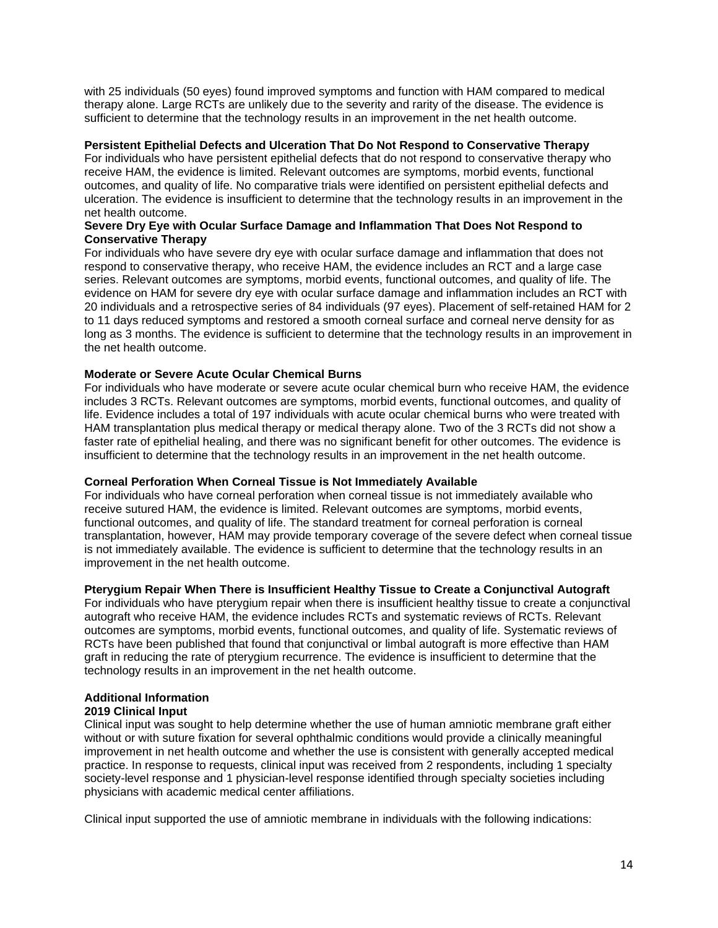with 25 individuals (50 eyes) found improved symptoms and function with HAM compared to medical therapy alone. Large RCTs are unlikely due to the severity and rarity of the disease. The evidence is sufficient to determine that the technology results in an improvement in the net health outcome.

### **Persistent Epithelial Defects and Ulceration That Do Not Respond to Conservative Therapy**

For individuals who have persistent epithelial defects that do not respond to conservative therapy who receive HAM, the evidence is limited. Relevant outcomes are symptoms, morbid events, functional outcomes, and quality of life. No comparative trials were identified on persistent epithelial defects and ulceration. The evidence is insufficient to determine that the technology results in an improvement in the net health outcome.

#### **Severe Dry Eye with Ocular Surface Damage and Inflammation That Does Not Respond to Conservative Therapy**

For individuals who have severe dry eye with ocular surface damage and inflammation that does not respond to conservative therapy, who receive HAM, the evidence includes an RCT and a large case series. Relevant outcomes are symptoms, morbid events, functional outcomes, and quality of life. The evidence on HAM for severe dry eye with ocular surface damage and inflammation includes an RCT with 20 individuals and a retrospective series of 84 individuals (97 eyes). Placement of self-retained HAM for 2 to 11 days reduced symptoms and restored a smooth corneal surface and corneal nerve density for as long as 3 months. The evidence is sufficient to determine that the technology results in an improvement in the net health outcome.

### **Moderate or Severe Acute Ocular Chemical Burns**

For individuals who have moderate or severe acute ocular chemical burn who receive HAM, the evidence includes 3 RCTs. Relevant outcomes are symptoms, morbid events, functional outcomes, and quality of life. Evidence includes a total of 197 individuals with acute ocular chemical burns who were treated with HAM transplantation plus medical therapy or medical therapy alone. Two of the 3 RCTs did not show a faster rate of epithelial healing, and there was no significant benefit for other outcomes. The evidence is insufficient to determine that the technology results in an improvement in the net health outcome.

#### **Corneal Perforation When Corneal Tissue is Not Immediately Available**

For individuals who have corneal perforation when corneal tissue is not immediately available who receive sutured HAM, the evidence is limited. Relevant outcomes are symptoms, morbid events, functional outcomes, and quality of life. The standard treatment for corneal perforation is corneal transplantation, however, HAM may provide temporary coverage of the severe defect when corneal tissue is not immediately available. The evidence is sufficient to determine that the technology results in an improvement in the net health outcome.

#### **Pterygium Repair When There is Insufficient Healthy Tissue to Create a Conjunctival Autograft**

For individuals who have pterygium repair when there is insufficient healthy tissue to create a conjunctival autograft who receive HAM, the evidence includes RCTs and systematic reviews of RCTs. Relevant outcomes are symptoms, morbid events, functional outcomes, and quality of life. Systematic reviews of RCTs have been published that found that conjunctival or limbal autograft is more effective than HAM graft in reducing the rate of pterygium recurrence. The evidence is insufficient to determine that the technology results in an improvement in the net health outcome.

### **Additional Information**

#### **2019 Clinical Input**

Clinical input was sought to help determine whether the use of human amniotic membrane graft either without or with suture fixation for several ophthalmic conditions would provide a clinically meaningful improvement in net health outcome and whether the use is consistent with generally accepted medical practice. In response to requests, clinical input was received from 2 respondents, including 1 specialty society-level response and 1 physician-level response identified through specialty societies including physicians with academic medical center affiliations.

Clinical input supported the use of amniotic membrane in individuals with the following indications: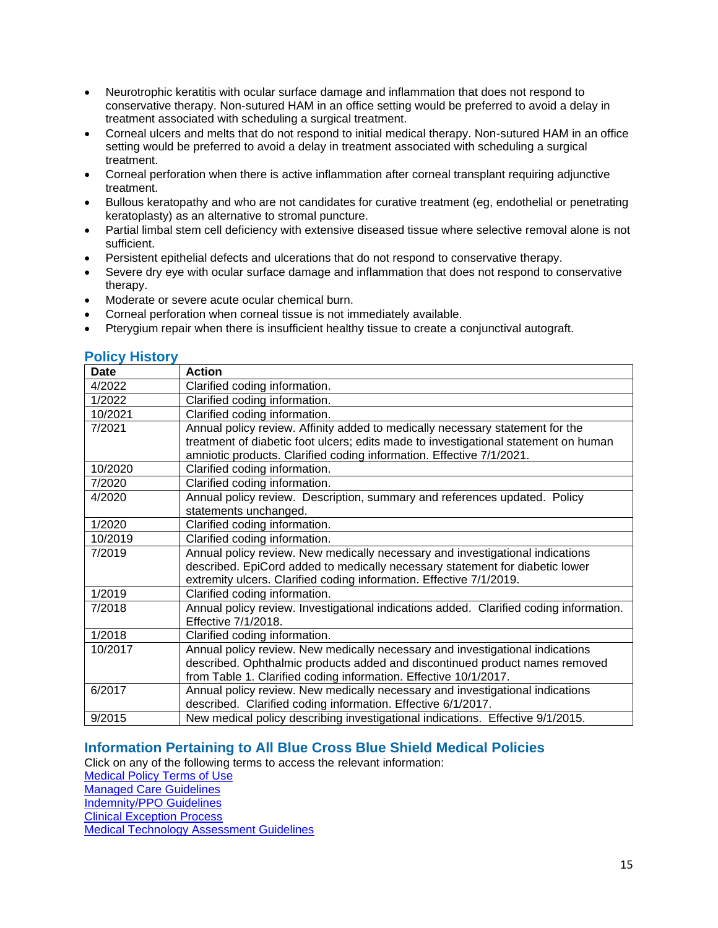- Neurotrophic keratitis with ocular surface damage and inflammation that does not respond to conservative therapy. Non-sutured HAM in an office setting would be preferred to avoid a delay in treatment associated with scheduling a surgical treatment.
- Corneal ulcers and melts that do not respond to initial medical therapy. Non-sutured HAM in an office setting would be preferred to avoid a delay in treatment associated with scheduling a surgical treatment.
- Corneal perforation when there is active inflammation after corneal transplant requiring adjunctive treatment.
- Bullous keratopathy and who are not candidates for curative treatment (eg, endothelial or penetrating keratoplasty) as an alternative to stromal puncture.
- Partial limbal stem cell deficiency with extensive diseased tissue where selective removal alone is not sufficient.
- Persistent epithelial defects and ulcerations that do not respond to conservative therapy.
- Severe dry eye with ocular surface damage and inflammation that does not respond to conservative therapy.
- Moderate or severe acute ocular chemical burn.
- Corneal perforation when corneal tissue is not immediately available.
- Pterygium repair when there is insufficient healthy tissue to create a conjunctival autograft.

### <span id="page-14-1"></span>**Policy History**

| Date    | <b>Action</b>                                                                          |
|---------|----------------------------------------------------------------------------------------|
| 4/2022  | Clarified coding information.                                                          |
| 1/2022  | Clarified coding information.                                                          |
| 10/2021 | Clarified coding information.                                                          |
| 7/2021  | Annual policy review. Affinity added to medically necessary statement for the          |
|         | treatment of diabetic foot ulcers; edits made to investigational statement on human    |
|         | amniotic products. Clarified coding information. Effective 7/1/2021.                   |
| 10/2020 | Clarified coding information.                                                          |
| 7/2020  | Clarified coding information.                                                          |
| 4/2020  | Annual policy review. Description, summary and references updated. Policy              |
|         | statements unchanged.                                                                  |
| 1/2020  | Clarified coding information.                                                          |
| 10/2019 | Clarified coding information.                                                          |
| 7/2019  | Annual policy review. New medically necessary and investigational indications          |
|         | described. EpiCord added to medically necessary statement for diabetic lower           |
|         | extremity ulcers. Clarified coding information. Effective 7/1/2019.                    |
| 1/2019  | Clarified coding information.                                                          |
| 7/2018  | Annual policy review. Investigational indications added. Clarified coding information. |
|         | Effective 7/1/2018.                                                                    |
| 1/2018  | Clarified coding information.                                                          |
| 10/2017 | Annual policy review. New medically necessary and investigational indications          |
|         | described. Ophthalmic products added and discontinued product names removed            |
|         | from Table 1. Clarified coding information. Effective 10/1/2017.                       |
| 6/2017  | Annual policy review. New medically necessary and investigational indications          |
|         | described. Clarified coding information. Effective 6/1/2017.                           |
| 9/2015  | New medical policy describing investigational indications. Effective 9/1/2015.         |

## <span id="page-14-0"></span>**Information Pertaining to All Blue Cross Blue Shield Medical Policies**

Click on any of the following terms to access the relevant information:

[Medical Policy Terms of Use](http://www.bluecrossma.org/medical-policies/sites/g/files/csphws2091/files/acquiadam-assets/Medical_Policy_Terms_of_Use_prn.pdf) [Managed Care Guidelines](http://www.bluecrossma.org/medical-policies/sites/g/files/csphws2091/files/acquiadam-assets/Managed_Care_Guidelines_prn.pdf) [Indemnity/PPO Guidelines](http://www.bluecrossma.org/medical-policies/sites/g/files/csphws2091/files/acquiadam-assets/Indemnity_and_PPO_Guidelines_prn.pdf) [Clinical Exception Process](http://www.bluecrossma.org/medical-policies/sites/g/files/csphws2091/files/acquiadam-assets/Clinical_Exception_Process_prn.pdf) [Medical Technology Assessment Guidelines](http://www.bluecrossma.org/medical-policies/sites/g/files/csphws2091/files/acquiadam-assets/Medical_Technology_Assessment_Guidelines_prn.pdf)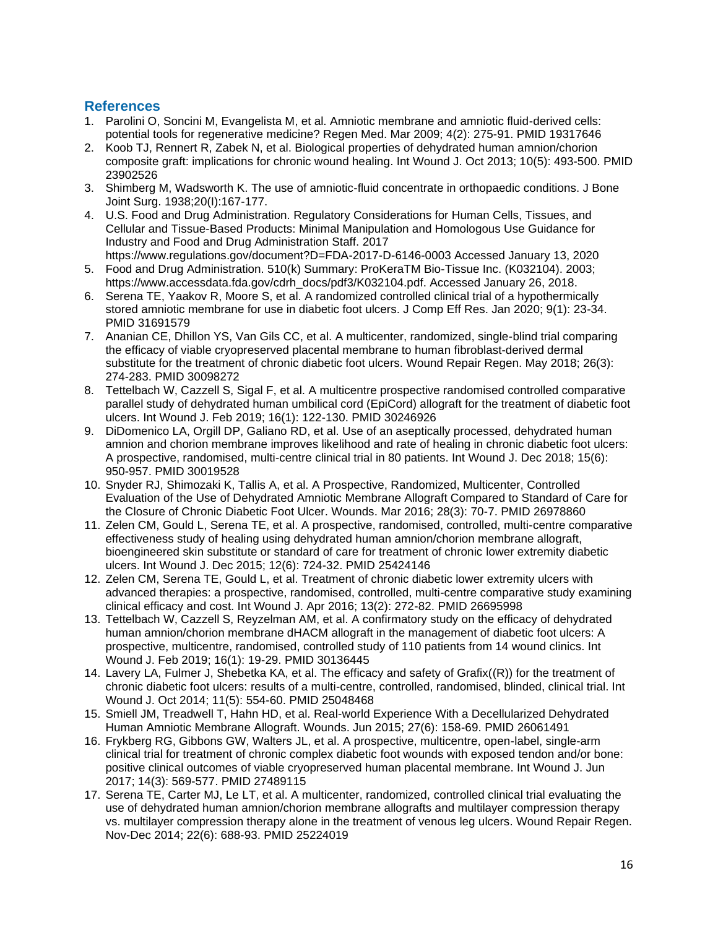## <span id="page-15-0"></span>**References**

- 1. Parolini O, Soncini M, Evangelista M, et al. Amniotic membrane and amniotic fluid-derived cells: potential tools for regenerative medicine? Regen Med. Mar 2009; 4(2): 275-91. PMID 19317646
- 2. Koob TJ, Rennert R, Zabek N, et al. Biological properties of dehydrated human amnion/chorion composite graft: implications for chronic wound healing. Int Wound J. Oct 2013; 10(5): 493-500. PMID 23902526
- 3. Shimberg M, Wadsworth K. The use of amniotic-fluid concentrate in orthopaedic conditions. J Bone Joint Surg. 1938;20(I):167-177.
- 4. U.S. Food and Drug Administration. Regulatory Considerations for Human Cells, Tissues, and Cellular and Tissue-Based Products: Minimal Manipulation and Homologous Use Guidance for Industry and Food and Drug Administration Staff. 2017
- https://www.regulations.gov/document?D=FDA-2017-D-6146-0003 Accessed January 13, 2020 5. Food and Drug Administration. 510(k) Summary: ProKeraTM Bio-Tissue Inc. (K032104). 2003; https://www.accessdata.fda.gov/cdrh\_docs/pdf3/K032104.pdf. Accessed January 26, 2018.
- 6. Serena TE, Yaakov R, Moore S, et al. A randomized controlled clinical trial of a hypothermically stored amniotic membrane for use in diabetic foot ulcers. J Comp Eff Res. Jan 2020; 9(1): 23-34. PMID 31691579
- 7. Ananian CE, Dhillon YS, Van Gils CC, et al. A multicenter, randomized, single-blind trial comparing the efficacy of viable cryopreserved placental membrane to human fibroblast-derived dermal substitute for the treatment of chronic diabetic foot ulcers. Wound Repair Regen. May 2018; 26(3): 274-283. PMID 30098272
- 8. Tettelbach W, Cazzell S, Sigal F, et al. A multicentre prospective randomised controlled comparative parallel study of dehydrated human umbilical cord (EpiCord) allograft for the treatment of diabetic foot ulcers. Int Wound J. Feb 2019; 16(1): 122-130. PMID 30246926
- 9. DiDomenico LA, Orgill DP, Galiano RD, et al. Use of an aseptically processed, dehydrated human amnion and chorion membrane improves likelihood and rate of healing in chronic diabetic foot ulcers: A prospective, randomised, multi-centre clinical trial in 80 patients. Int Wound J. Dec 2018; 15(6): 950-957. PMID 30019528
- 10. Snyder RJ, Shimozaki K, Tallis A, et al. A Prospective, Randomized, Multicenter, Controlled Evaluation of the Use of Dehydrated Amniotic Membrane Allograft Compared to Standard of Care for the Closure of Chronic Diabetic Foot Ulcer. Wounds. Mar 2016; 28(3): 70-7. PMID 26978860
- 11. Zelen CM, Gould L, Serena TE, et al. A prospective, randomised, controlled, multi-centre comparative effectiveness study of healing using dehydrated human amnion/chorion membrane allograft, bioengineered skin substitute or standard of care for treatment of chronic lower extremity diabetic ulcers. Int Wound J. Dec 2015; 12(6): 724-32. PMID 25424146
- 12. Zelen CM, Serena TE, Gould L, et al. Treatment of chronic diabetic lower extremity ulcers with advanced therapies: a prospective, randomised, controlled, multi-centre comparative study examining clinical efficacy and cost. Int Wound J. Apr 2016; 13(2): 272-82. PMID 26695998
- 13. Tettelbach W, Cazzell S, Reyzelman AM, et al. A confirmatory study on the efficacy of dehydrated human amnion/chorion membrane dHACM allograft in the management of diabetic foot ulcers: A prospective, multicentre, randomised, controlled study of 110 patients from 14 wound clinics. Int Wound J. Feb 2019; 16(1): 19-29. PMID 30136445
- 14. Lavery LA, Fulmer J, Shebetka KA, et al. The efficacy and safety of Grafix((R)) for the treatment of chronic diabetic foot ulcers: results of a multi-centre, controlled, randomised, blinded, clinical trial. Int Wound J. Oct 2014; 11(5): 554-60. PMID 25048468
- 15. Smiell JM, Treadwell T, Hahn HD, et al. Real-world Experience With a Decellularized Dehydrated Human Amniotic Membrane Allograft. Wounds. Jun 2015; 27(6): 158-69. PMID 26061491
- 16. Frykberg RG, Gibbons GW, Walters JL, et al. A prospective, multicentre, open-label, single-arm clinical trial for treatment of chronic complex diabetic foot wounds with exposed tendon and/or bone: positive clinical outcomes of viable cryopreserved human placental membrane. Int Wound J. Jun 2017; 14(3): 569-577. PMID 27489115
- 17. Serena TE, Carter MJ, Le LT, et al. A multicenter, randomized, controlled clinical trial evaluating the use of dehydrated human amnion/chorion membrane allografts and multilayer compression therapy vs. multilayer compression therapy alone in the treatment of venous leg ulcers. Wound Repair Regen. Nov-Dec 2014; 22(6): 688-93. PMID 25224019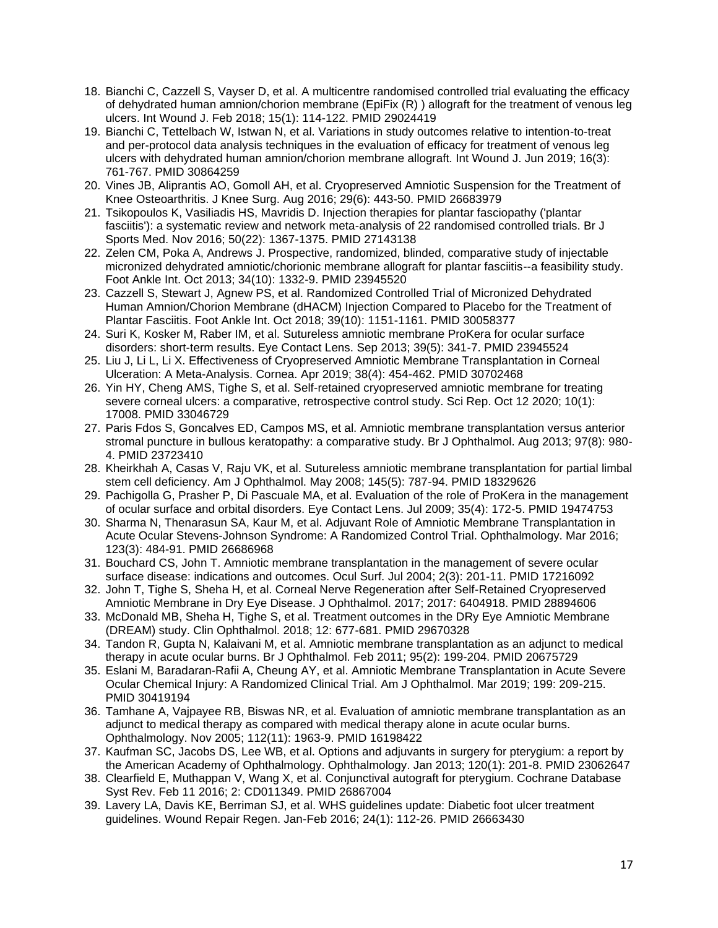- 18. Bianchi C, Cazzell S, Vayser D, et al. A multicentre randomised controlled trial evaluating the efficacy of dehydrated human amnion/chorion membrane (EpiFix (R) ) allograft for the treatment of venous leg ulcers. Int Wound J. Feb 2018; 15(1): 114-122. PMID 29024419
- 19. Bianchi C, Tettelbach W, Istwan N, et al. Variations in study outcomes relative to intention-to-treat and per-protocol data analysis techniques in the evaluation of efficacy for treatment of venous leg ulcers with dehydrated human amnion/chorion membrane allograft. Int Wound J. Jun 2019; 16(3): 761-767. PMID 30864259
- 20. Vines JB, Aliprantis AO, Gomoll AH, et al. Cryopreserved Amniotic Suspension for the Treatment of Knee Osteoarthritis. J Knee Surg. Aug 2016; 29(6): 443-50. PMID 26683979
- 21. Tsikopoulos K, Vasiliadis HS, Mavridis D. Injection therapies for plantar fasciopathy ('plantar fasciitis'): a systematic review and network meta-analysis of 22 randomised controlled trials. Br J Sports Med. Nov 2016; 50(22): 1367-1375. PMID 27143138
- 22. Zelen CM, Poka A, Andrews J. Prospective, randomized, blinded, comparative study of injectable micronized dehydrated amniotic/chorionic membrane allograft for plantar fasciitis--a feasibility study. Foot Ankle Int. Oct 2013; 34(10): 1332-9. PMID 23945520
- 23. Cazzell S, Stewart J, Agnew PS, et al. Randomized Controlled Trial of Micronized Dehydrated Human Amnion/Chorion Membrane (dHACM) Injection Compared to Placebo for the Treatment of Plantar Fasciitis. Foot Ankle Int. Oct 2018; 39(10): 1151-1161. PMID 30058377
- 24. Suri K, Kosker M, Raber IM, et al. Sutureless amniotic membrane ProKera for ocular surface disorders: short-term results. Eye Contact Lens. Sep 2013; 39(5): 341-7. PMID 23945524
- 25. Liu J, Li L, Li X. Effectiveness of Cryopreserved Amniotic Membrane Transplantation in Corneal Ulceration: A Meta-Analysis. Cornea. Apr 2019; 38(4): 454-462. PMID 30702468
- 26. Yin HY, Cheng AMS, Tighe S, et al. Self-retained cryopreserved amniotic membrane for treating severe corneal ulcers: a comparative, retrospective control study. Sci Rep. Oct 12 2020; 10(1): 17008. PMID 33046729
- 27. Paris Fdos S, Goncalves ED, Campos MS, et al. Amniotic membrane transplantation versus anterior stromal puncture in bullous keratopathy: a comparative study. Br J Ophthalmol. Aug 2013; 97(8): 980- 4. PMID 23723410
- 28. Kheirkhah A, Casas V, Raju VK, et al. Sutureless amniotic membrane transplantation for partial limbal stem cell deficiency. Am J Ophthalmol. May 2008; 145(5): 787-94. PMID 18329626
- 29. Pachigolla G, Prasher P, Di Pascuale MA, et al. Evaluation of the role of ProKera in the management of ocular surface and orbital disorders. Eye Contact Lens. Jul 2009; 35(4): 172-5. PMID 19474753
- 30. Sharma N, Thenarasun SA, Kaur M, et al. Adjuvant Role of Amniotic Membrane Transplantation in Acute Ocular Stevens-Johnson Syndrome: A Randomized Control Trial. Ophthalmology. Mar 2016; 123(3): 484-91. PMID 26686968
- 31. Bouchard CS, John T. Amniotic membrane transplantation in the management of severe ocular surface disease: indications and outcomes. Ocul Surf. Jul 2004; 2(3): 201-11. PMID 17216092
- 32. John T, Tighe S, Sheha H, et al. Corneal Nerve Regeneration after Self-Retained Cryopreserved Amniotic Membrane in Dry Eye Disease. J Ophthalmol. 2017; 2017: 6404918. PMID 28894606
- 33. McDonald MB, Sheha H, Tighe S, et al. Treatment outcomes in the DRy Eye Amniotic Membrane (DREAM) study. Clin Ophthalmol. 2018; 12: 677-681. PMID 29670328
- 34. Tandon R, Gupta N, Kalaivani M, et al. Amniotic membrane transplantation as an adjunct to medical therapy in acute ocular burns. Br J Ophthalmol. Feb 2011; 95(2): 199-204. PMID 20675729
- 35. Eslani M, Baradaran-Rafii A, Cheung AY, et al. Amniotic Membrane Transplantation in Acute Severe Ocular Chemical Injury: A Randomized Clinical Trial. Am J Ophthalmol. Mar 2019; 199: 209-215. PMID 30419194
- 36. Tamhane A, Vajpayee RB, Biswas NR, et al. Evaluation of amniotic membrane transplantation as an adjunct to medical therapy as compared with medical therapy alone in acute ocular burns. Ophthalmology. Nov 2005; 112(11): 1963-9. PMID 16198422
- 37. Kaufman SC, Jacobs DS, Lee WB, et al. Options and adjuvants in surgery for pterygium: a report by the American Academy of Ophthalmology. Ophthalmology. Jan 2013; 120(1): 201-8. PMID 23062647
- 38. Clearfield E, Muthappan V, Wang X, et al. Conjunctival autograft for pterygium. Cochrane Database Syst Rev. Feb 11 2016; 2: CD011349. PMID 26867004
- 39. Lavery LA, Davis KE, Berriman SJ, et al. WHS guidelines update: Diabetic foot ulcer treatment guidelines. Wound Repair Regen. Jan-Feb 2016; 24(1): 112-26. PMID 26663430